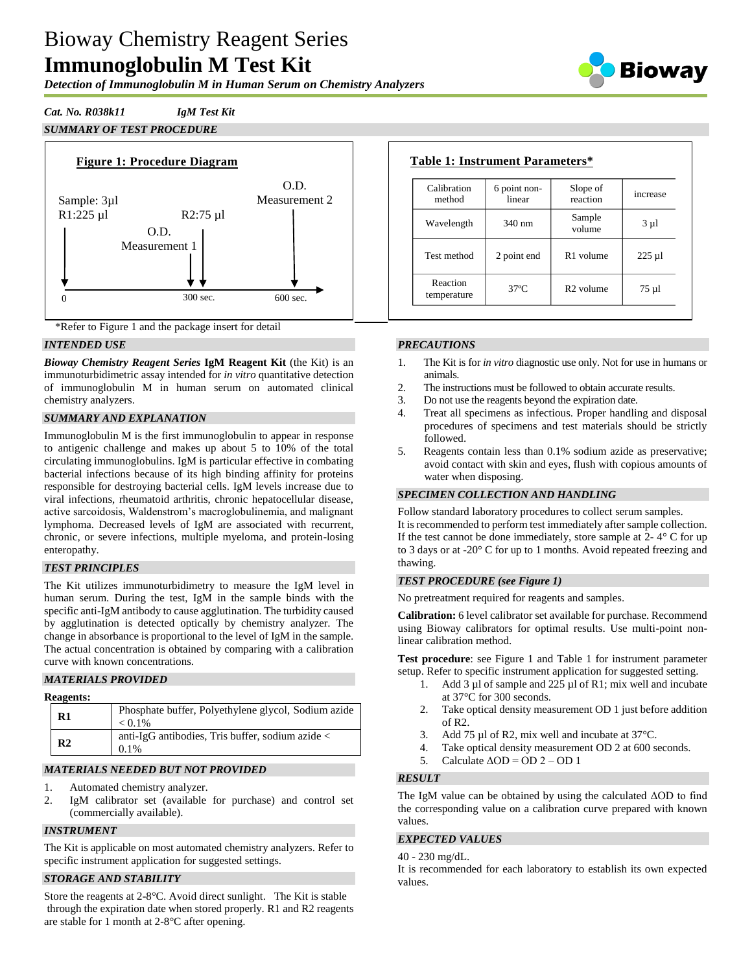# Bioway Chemistry Reagent Series **Immunoglobulin M Test Kit**

*Detection of Immunoglobulin M in Human Serum on Chemistry Analyzers*



# *Cat. No. R038k11 IgM Test Kit*

*SUMMARY OF TEST PROCEDURE*





## *INTENDED USE*

*Bioway Chemistry Reagent Series* **IgM Reagent Kit** (the Kit) is an immunoturbidimetric assay intended for *in vitro* quantitative detection of immunoglobulin M in human serum on automated clinical chemistry analyzers.

## *SUMMARY AND EXPLANATION*

Immunoglobulin M is the first immunoglobulin to appear in response to antigenic challenge and makes up about 5 to 10% of the total circulating immunoglobulins. IgM is particular effective in combating bacterial infections because of its high binding affinity for proteins responsible for destroying bacterial cells. IgM levels increase due to viral infections, rheumatoid arthritis, chronic hepatocellular disease, active sarcoidosis, Waldenstrom's macroglobulinemia, and malignant lymphoma. Decreased levels of IgM are associated with recurrent, chronic, or severe infections, multiple myeloma, and protein-losing enteropathy.

## *TEST PRINCIPLES*

The Kit utilizes immunoturbidimetry to measure the IgM level in human serum. During the test, IgM in the sample binds with the specific anti-IgM antibody to cause agglutination. The turbidity caused by agglutination is detected optically by chemistry analyzer. The change in absorbance is proportional to the level of IgM in the sample. The actual concentration is obtained by comparing with a calibration curve with known concentrations.

## *MATERIALS PROVIDED*

| <b>Reagents:</b> |                                                                  |
|------------------|------------------------------------------------------------------|
|                  | Phosphate buffer, Polyethylene glycol, Sodium azide<br>$< 0.1\%$ |
|                  | anti-IgG antibodies, Tris buffer, sodium azide <<br>$0.1\%$      |
|                  | R1<br>R <sub>2</sub>                                             |

# *MATERIALS NEEDED BUT NOT PROVIDED*

- 1. Automated chemistry analyzer.
- 2. IgM calibrator set (available for purchase) and control set (commercially available).

## *INSTRUMENT*

The Kit is applicable on most automated chemistry analyzers. Refer to specific instrument application for suggested settings.

## *STORAGE AND STABILITY*

Store the reagents at 2-8°C. Avoid direct sunlight. The Kit is stable through the expiration date when stored properly. R1 and R2 reagents are stable for 1 month at 2-8°C after opening.

| Calibration<br>method   | 6 point non-<br>linear | Slope of<br>reaction  | increase   |
|-------------------------|------------------------|-----------------------|------------|
| Wavelength              | $340 \text{ nm}$       | Sample<br>volume      | $3 \mu l$  |
| Test method             | 2 point end            | R <sub>1</sub> volume | $225 \mu$  |
| Reaction<br>temperature | $37^\circ$ C           | $R2$ volume           | $75 \mu$ l |

## *PRECAUTIONS*

- 1. The Kit is for *in vitro* diagnostic use only. Not for use in humans or animals.
- 2. The instructions must be followed to obtain accurate results.<br>3. Do not use the reagents beyond the expiration date.
- 3. Do not use the reagents beyond the expiration date.
- 4. Treat all specimens as infectious. Proper handling and disposal procedures of specimens and test materials should be strictly followed.
- 5. Reagents contain less than 0.1% sodium azide as preservative; avoid contact with skin and eyes, flush with copious amounts of water when disposing.

## *SPECIMEN COLLECTION AND HANDLING*

Follow standard laboratory procedures to collect serum samples. It is recommended to perform test immediately after sample collection. If the test cannot be done immediately, store sample at  $2 - 4^\circ$  C for up to 3 days or at -20° C for up to 1 months. Avoid repeated freezing and thawing.

## *TEST PROCEDURE (see Figure 1)*

No pretreatment required for reagents and samples.

**Calibration:** 6 level calibrator set available for purchase. Recommend using Bioway calibrators for optimal results. Use multi-point nonlinear calibration method.

**Test procedure**: see Figure 1 and Table 1 for instrument parameter setup. Refer to specific instrument application for suggested setting.

- Add 3  $\mu$ l of sample and 225  $\mu$ l of R1; mix well and incubate at 37°C for 300 seconds.
- 2. Take optical density measurement OD 1 just before addition of R2.
- 3. Add 75 µl of R2, mix well and incubate at 37°C.
- 4. Take optical density measurement OD 2 at 600 seconds.
- 5. Calculate  $\triangle$ OD = OD 2 OD 1

## *RESULT*

The IgM value can be obtained by using the calculated ΔOD to find the corresponding value on a calibration curve prepared with known values.

## *EXPECTED VALUES*

## 40 - 230 mg/dL.

It is recommended for each laboratory to establish its own expected values.